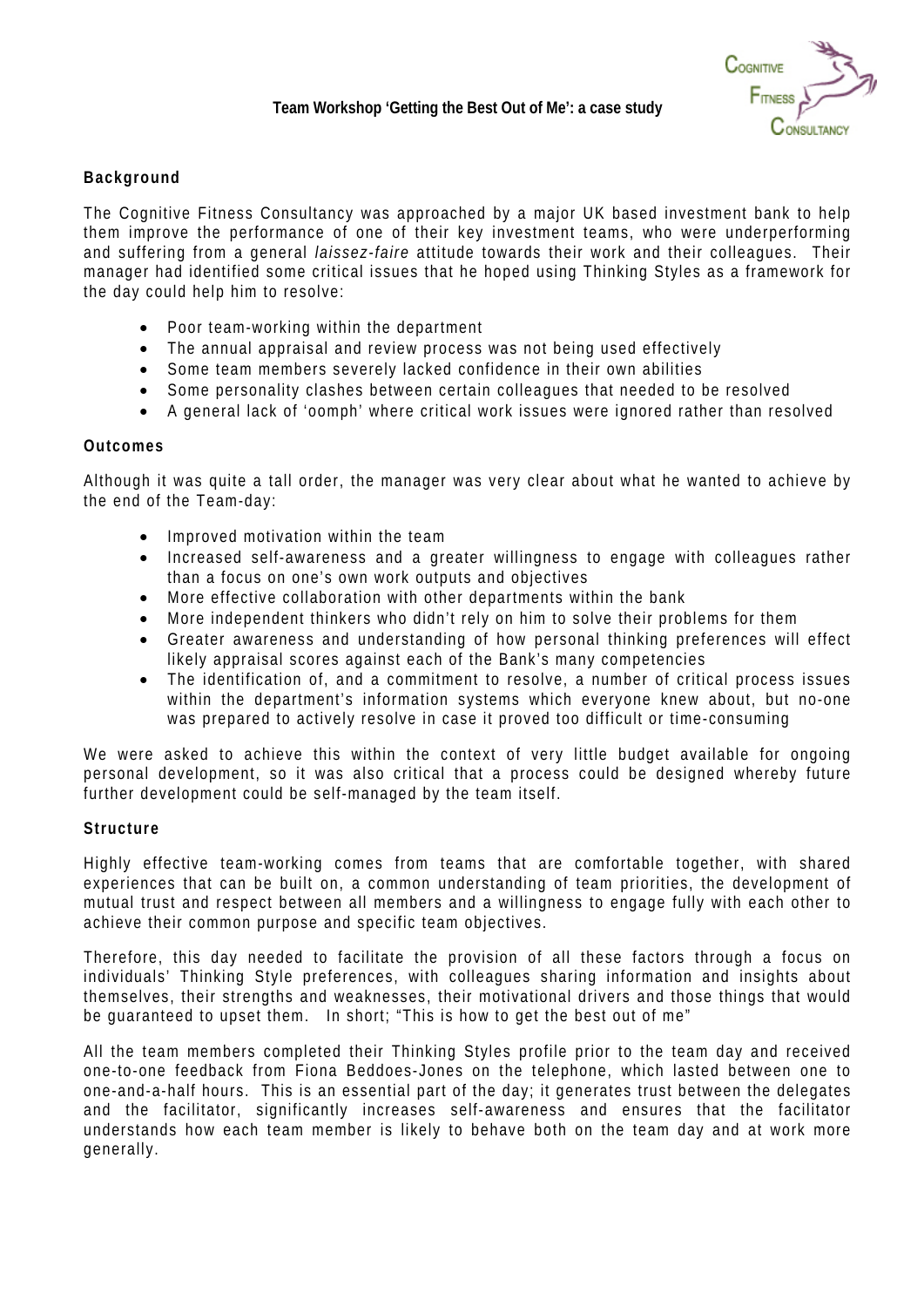

# **Background**

The Cognitive Fitness Consultancy was approached by a major UK based investment bank to help them improve the performance of one of their key investment teams, who were underperforming and suffering from a general *laissez-faire* attitude towards their work and their colleagues. Their manager had identified some critical issues that he hoped using Thinking Styles as a framework for the day could help him to resolve:

- Poor team-working within the department
- The annual appraisal and review process was not being used effectively
- Some team members severely lacked confidence in their own abilities
- Some personality clashes between certain colleagues that needed to be resolved
- A general lack of 'oomph' where critical work issues were ignored rather than resolved

#### **Outcomes**

Although it was quite a tall order, the manager was very clear about what he wanted to achieve by the end of the Team-day:

- Improved motivation within the team
- Increased self-awareness and a greater willingness to engage with colleagues rather than a focus on one's own work outputs and objectives
- More effective collaboration with other departments within the bank
- More independent thinkers who didn't rely on him to solve their problems for them
- Greater awareness and understanding of how personal thinking preferences will effect likely appraisal scores against each of the Bank's many competencies
- The identification of, and a commitment to resolve, a number of critical process issues within the department's information systems which everyone knew about, but no-one was prepared to actively resolve in case it proved too difficult or time-consuming

We were asked to achieve this within the context of very little budget available for ongoing personal development, so it was also critical that a process could be designed whereby future further development could be self-managed by the team itself.

### **Structure**

Highly effective team-working comes from teams that are comfortable together, with shared experiences that can be built on, a common understanding of team priorities, the development of mutual trust and respect between all members and a willingness to engage fully with each other to achieve their common purpose and specific team objectives.

Therefore, this day needed to facilitate the provision of all these factors through a focus on individuals' Thinking Style preferences, with colleagues sharing information and insights about themselves, their strengths and weaknesses, their motivational drivers and those things that would be guaranteed to upset them. In short; "This is how to get the best out of me"

All the team members completed their Thinking Styles profile prior to the team day and received one-to-one feedback from Fiona Beddoes-Jones on the telephone, which lasted between one to one-and-a-half hours. This is an essential part of the day; it generates trust between the delegates and the facilitator, significantly increases self-awareness and ensures that the facilitator understands how each team member is likely to behave both on the team day and at work more generally.